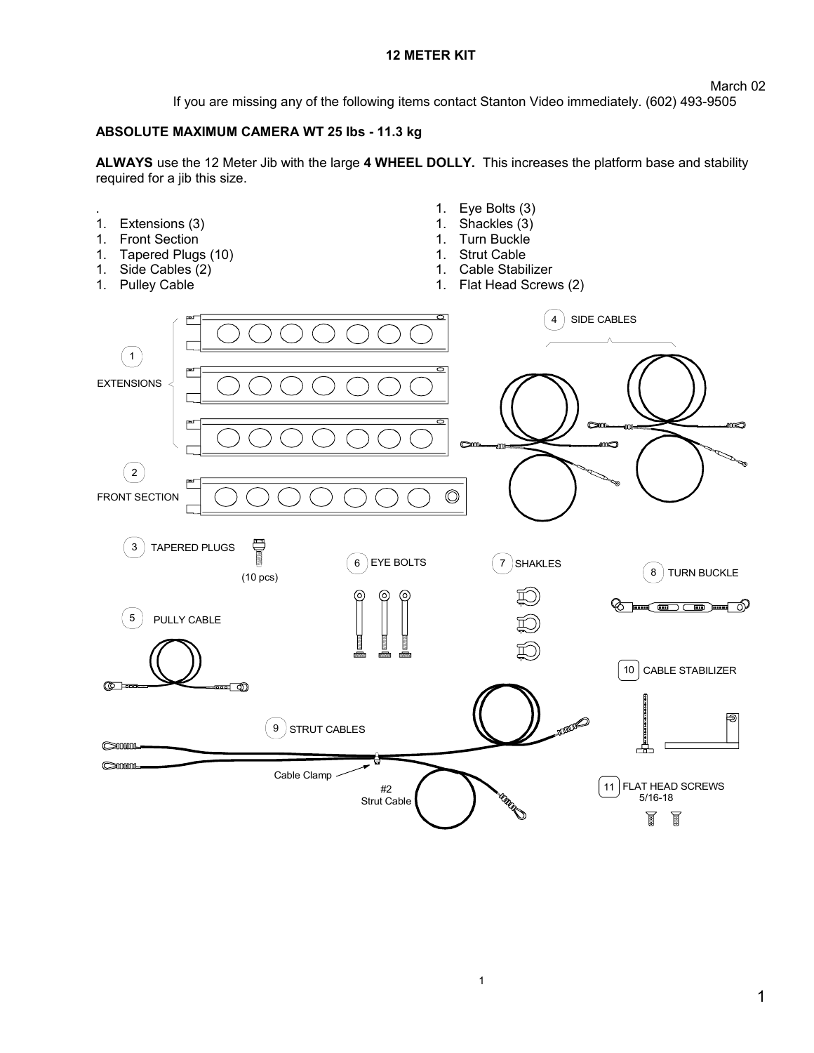## **12 METER KIT**

If you are missing any of the following items contact Stanton Video immediately. (602) 493-9505

## **ABSOLUTE MAXIMUM CAMERA WT 25 lbs - 11.3 kg**

**ALWAYS** use the 12 Meter Jib with the large **4 WHEEL DOLLY.** This increases the platform base and stability required for a jib this size.

1. Eye Bolts (3) . 1. Extensions (3) 1. Shackles (3) 1. Front Section 1. Turn Buckle 1. Tapered Plugs (10) 1. Strut Cable 1. Side Cables (2) 1. Cable Stabilizer 1. Pulley Cable 1. Flat Head Screws (2) 4 SIDE CABLES  $\left( 1 \right)$ EXTENSIONS œ mo  $\left( 2\right)$ FRONT SECTION  $\circledcirc$ T 3 TAPERED PLUGS 6)EYE BOLTS ( 7 )SHAKLES 8 TURN BUCKLE (10 pcs) (⊙ ര ಕು  $\supset$  (  $\blacksquare$  ) 5 PULLY CABLE CABLE STABILIZER 10  $\circledR$ =⊡© **ANDRES** ெ 9 STRUT CABLES  $\odot$ 0000-유  $\bigcirc$ Cable Clamp FLAT HEAD SCREWS 11 #2 **RADOR**  5/16-18 Strut Cable T 圓

1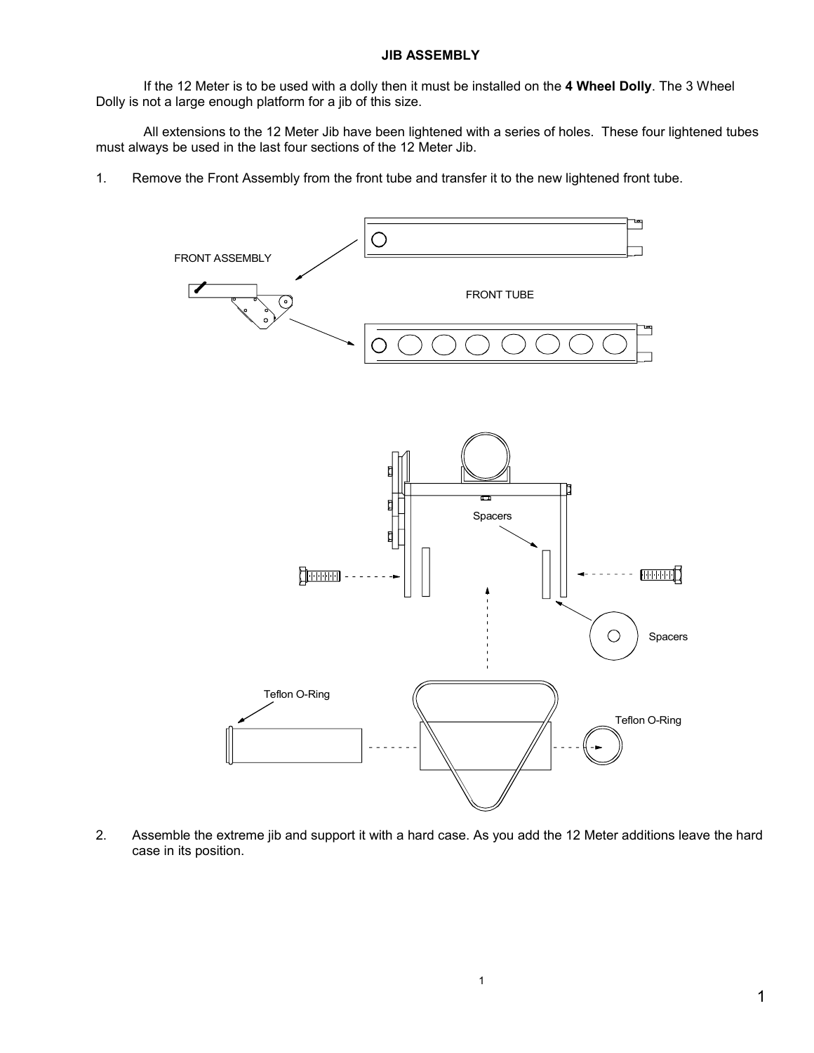If the 12 Meter is to be used with a dolly then it must be installed on the **4 Wheel Dolly**. The 3 Wheel Dolly is not a large enough platform for a jib of this size.

All extensions to the 12 Meter Jib have been lightened with a series of holes. These four lightened tubes must always be used in the last four sections of the 12 Meter Jib.

1. Remove the Front Assembly from the front tube and transfer it to the new lightened front tube.



2. Assemble the extreme jib and support it with a hard case. As you add the 12 Meter additions leave the hard case in its position.

1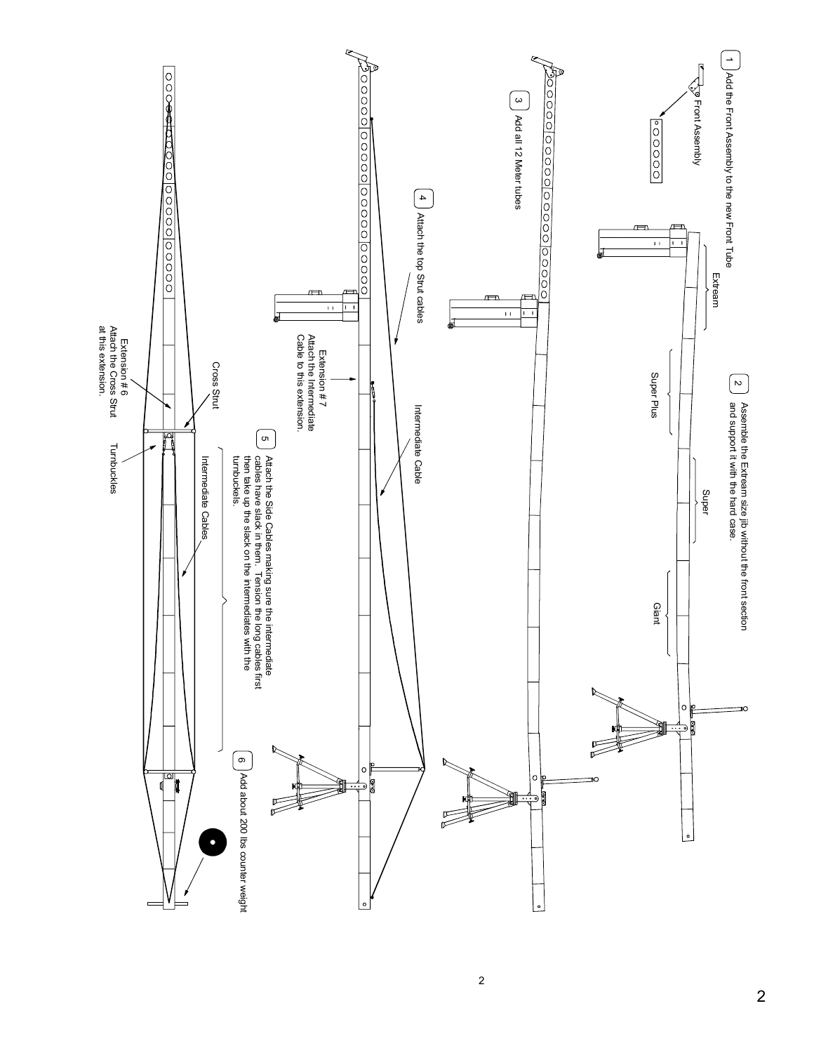

2

2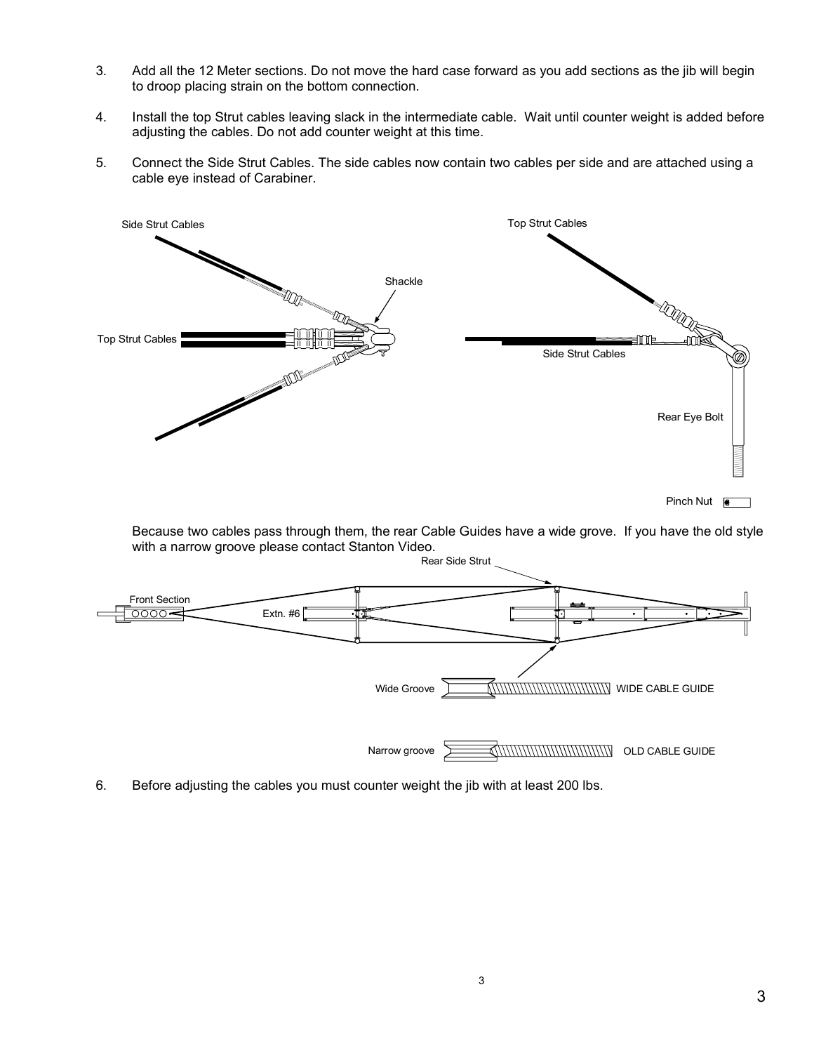- 3. Add all the 12 Meter sections. Do not move the hard case forward as you add sections as the jib will begin to droop placing strain on the bottom connection.
- 4. Install the top Strut cables leaving slack in the intermediate cable. Wait until counter weight is added before adjusting the cables. Do not add counter weight at this time.
- 5. Connect the Side Strut Cables. The side cables now contain two cables per side and are attached using a cable eye instead of Carabiner.



Because two cables pass through them, the rear Cable Guides have a wide grove. If you have the old style with a narrow groove please contact Stanton Video.



6. Before adjusting the cables you must counter weight the jib with at least 200 lbs.